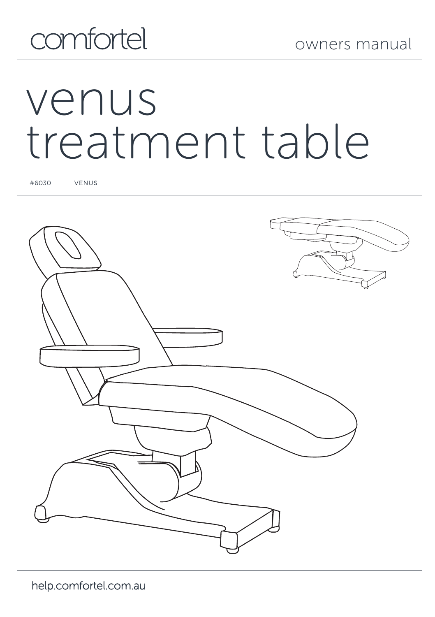# comfortel

# venus treatment table

#6030 VENUS

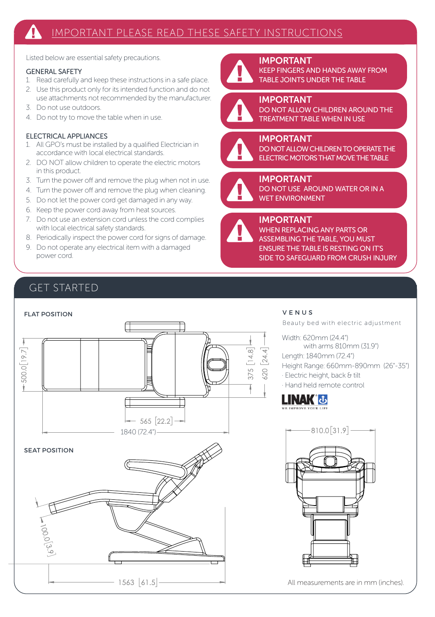Listed below are essential safety precautions.

## GENERAL SAFETY

- 1. Read carefully and keep these instructions in a safe place.
- 2. Use this product only for its intended function and do not use attachments not recommended by the manufacturer.
- 3. Do not use outdoors.
- 4. Do not try to move the table when in use.

## ELECTRICAL APPLIANCES

- 1. All GPO's must be installed by a qualified Electrician in accordance with local electrical standards.
- 2. DO NOT allow children to operate the electric motors in this product.
- 3. Turn the power off and remove the plug when not in use.
- 4. Turn the power off and remove the plug when cleaning.
- 5. Do not let the power cord get damaged in any way.
- 6. Keep the power cord away from heat sources.
- 7. Do not use an extension cord unless the cord complies with local electrical safety standards.
- 8. Periodically inspect the power cord for signs of damage.
- 9. Do not operate any electrical item with a damaged power cord.

## GET STARTED





IMPORTANT KEEP FINGERS AND HANDS AWAY FROM TABLE JOINTS UNDER THE TABLE



## IMPORTANT DO NOT ALLOW CHILDREN AROUND THE

TREATMENT TABLE WHEN IN USE



## IMPORTANT

DO NOT ALLOW CHILDREN TO OPERATE THE ELECTRIC MOTORS THAT MOVE THE TABLE



### IMPORTANT DO NOT USE AROUND WATER OR IN A WET ENVIRONMENT



## IMPORTANT WHEN REPLACING ANY PARTS OR

ASSEMBLING THE TABLE, YOU MUST ENSURE THE TABLE IS RESTING ON IT'S SIDE TO SAFEGUARD FROM CRUSH INJURY

## V E N U S

Beauty bed with electric adjustment

Width: 620mm (24.4") with arms 810mm (31.9") Length: 1840mm (72.4") Height Range: 660mm-890mm (26"-35") · Electric height, back & tilt · Hand held remote control





All measurements are in mm (inches).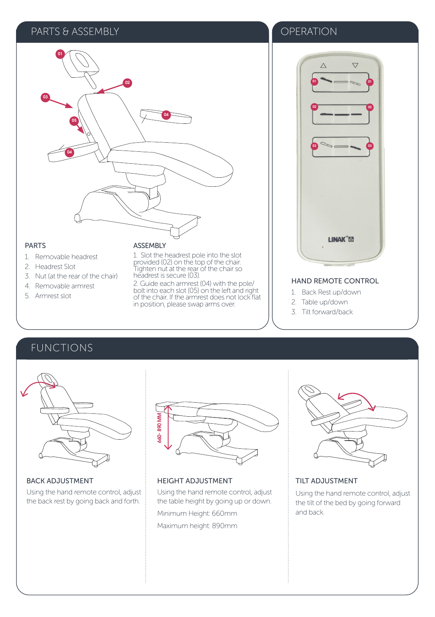## PARTS & ASSEMBLY **Example 20** OPERATION



## PARTS

- 1. Removable headrest
- 2. Headrest Slot
- 3. Nut (at the rear of the chair)
- 4. Removable armrest
- 5. Armrest slot

### **ASSEMBLY**

1. Slot the headrest pole into the slot provided (02) on the top of the chair. Tighten nut at the rear of the chair so headrest is secure (03).

2. Guide each armrest (04) with the pole/ bolt into each slot (05) on the left and right of the chair. If the armrest does not lock flat in position, please swap arms over.



## HAND REMOTE CONTROL

- 1. Back Rest up/down
- 2. Table up/down
- 3. Tilt forward/back

## FUNCTIONS



BACK ADJUSTMENT Using the hand remote control, adjust the back rest by going back and forth.



## HEIGHT ADJUSTMENT

Using the hand remote control, adjust the table height by going up or down. Minimum Height: 660mm Maximum height: 890mm



TILT ADJUSTMENT

Using the hand remote control, adjust the tilt of the bed by going forward and back.